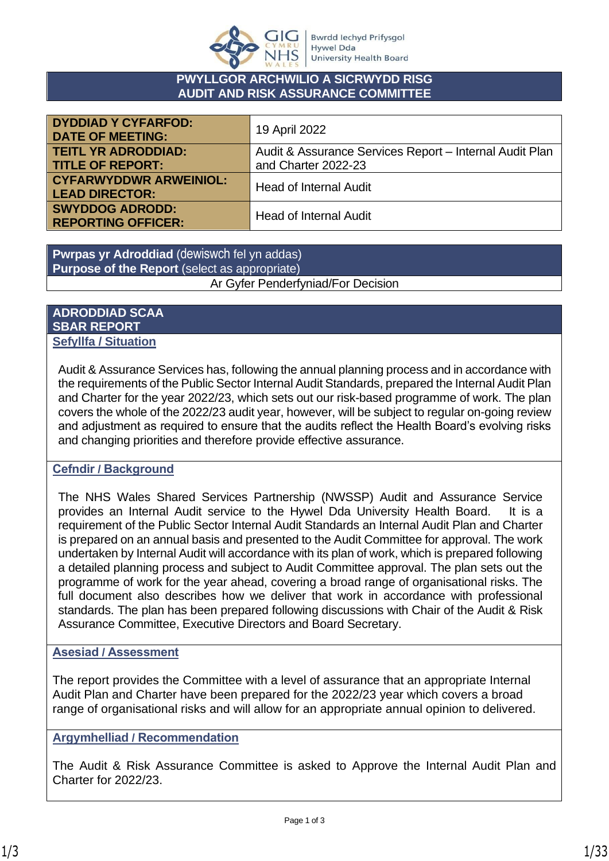

#### **PWYLLGOR ARCHWILIO A SICRWYDD RISG AUDIT AND RISK ASSURANCE COMMITTEE**

| <b>DYDDIAD Y CYFARFOD:</b><br><b>DATE OF MEETING:</b>  | 19 April 2022                                           |
|--------------------------------------------------------|---------------------------------------------------------|
| <b>TEITL YR ADRODDIAD:</b>                             | Audit & Assurance Services Report - Internal Audit Plan |
| <b>TITLE OF REPORT:</b>                                | and Charter 2022-23                                     |
| <b>CYFARWYDDWR ARWEINIOL:</b><br><b>LEAD DIRECTOR:</b> | <b>Head of Internal Audit</b>                           |
| <b>SWYDDOG ADRODD:</b><br><b>REPORTING OFFICER:</b>    | <b>Head of Internal Audit</b>                           |

**Pwrpas yr Adroddiad** (dewiswch fel yn addas) **Purpose of the Report** (select as appropriate) Ar Gyfer Penderfyniad/For Decision

#### **ADRODDIAD SCAA SBAR REPORT Sefyllfa / Situation**

Audit & Assurance Services has, following the annual planning process and in accordance with the requirements of the Public Sector Internal Audit Standards, prepared the Internal Audit Plan and Charter for the year 2022/23, which sets out our risk-based programme of work. The plan covers the whole of the 2022/23 audit year, however, will be subject to regular on-going review and adjustment as required to ensure that the audits reflect the Health Board's evolving risks and changing priorities and therefore provide effective assurance.

#### **Cefndir / Background**

The NHS Wales Shared Services Partnership (NWSSP) Audit and Assurance Service provides an Internal Audit service to the Hywel Dda University Health Board. It is a requirement of the Public Sector Internal Audit Standards an Internal Audit Plan and Charter is prepared on an annual basis and presented to the Audit Committee for approval. The work undertaken by Internal Audit will accordance with its plan of work, which is prepared following a detailed planning process and subject to Audit Committee approval. The plan sets out the programme of work for the year ahead, covering a broad range of organisational risks. The full document also describes how we deliver that work in accordance with professional standards. The plan has been prepared following discussions with Chair of the Audit & Risk Assurance Committee, Executive Directors and Board Secretary.

#### **Asesiad / Assessment**

The report provides the Committee with a level of assurance that an appropriate Internal Audit Plan and Charter have been prepared for the 2022/23 year which covers a broad range of organisational risks and will allow for an appropriate annual opinion to delivered.

#### **Argymhelliad / Recommendation**

The Audit & Risk Assurance Committee is asked to Approve the Internal Audit Plan and Charter for 2022/23.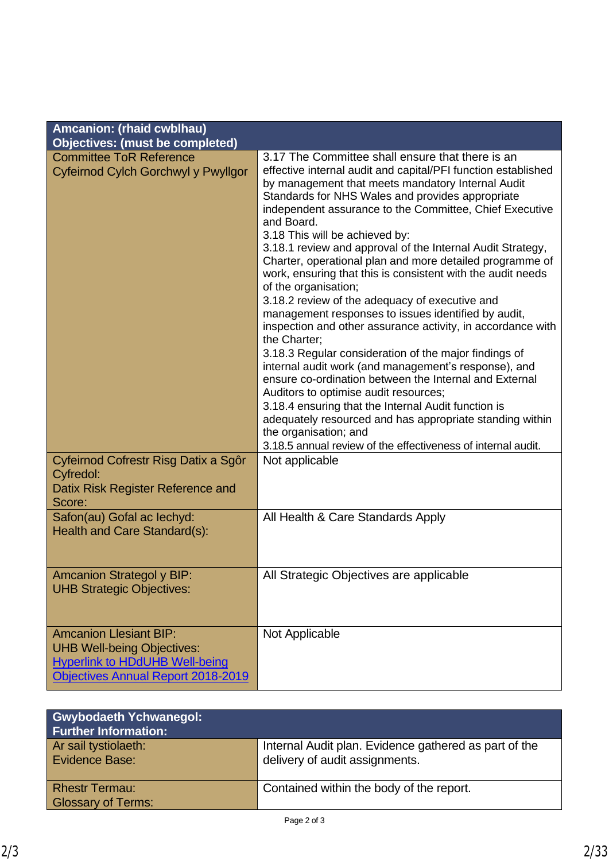| Amcanion: (rhaid cwblhau)<br><b>Objectives: (must be completed)</b>                                                                               |                                                                                                                                                                                                                                                                                                                                                                                                                                                                                                                                                                                                                                                                                                                                                                                                                                                                                                                                                                                                                                                                                                                            |
|---------------------------------------------------------------------------------------------------------------------------------------------------|----------------------------------------------------------------------------------------------------------------------------------------------------------------------------------------------------------------------------------------------------------------------------------------------------------------------------------------------------------------------------------------------------------------------------------------------------------------------------------------------------------------------------------------------------------------------------------------------------------------------------------------------------------------------------------------------------------------------------------------------------------------------------------------------------------------------------------------------------------------------------------------------------------------------------------------------------------------------------------------------------------------------------------------------------------------------------------------------------------------------------|
|                                                                                                                                                   | 3.17 The Committee shall ensure that there is an                                                                                                                                                                                                                                                                                                                                                                                                                                                                                                                                                                                                                                                                                                                                                                                                                                                                                                                                                                                                                                                                           |
| <b>Committee ToR Reference</b><br>Cyfeirnod Cylch Gorchwyl y Pwyllgor                                                                             | effective internal audit and capital/PFI function established<br>by management that meets mandatory Internal Audit<br>Standards for NHS Wales and provides appropriate<br>independent assurance to the Committee, Chief Executive<br>and Board.<br>3.18 This will be achieved by:<br>3.18.1 review and approval of the Internal Audit Strategy,<br>Charter, operational plan and more detailed programme of<br>work, ensuring that this is consistent with the audit needs<br>of the organisation;<br>3.18.2 review of the adequacy of executive and<br>management responses to issues identified by audit,<br>inspection and other assurance activity, in accordance with<br>the Charter;<br>3.18.3 Regular consideration of the major findings of<br>internal audit work (and management's response), and<br>ensure co-ordination between the Internal and External<br>Auditors to optimise audit resources;<br>3.18.4 ensuring that the Internal Audit function is<br>adequately resourced and has appropriate standing within<br>the organisation; and<br>3.18.5 annual review of the effectiveness of internal audit. |
| Cyfeirnod Cofrestr Risg Datix a Sgôr<br>Cyfredol:<br>Datix Risk Register Reference and<br>Score:                                                  | Not applicable                                                                                                                                                                                                                                                                                                                                                                                                                                                                                                                                                                                                                                                                                                                                                                                                                                                                                                                                                                                                                                                                                                             |
| Safon(au) Gofal ac lechyd:<br>Health and Care Standard(s):                                                                                        | All Health & Care Standards Apply                                                                                                                                                                                                                                                                                                                                                                                                                                                                                                                                                                                                                                                                                                                                                                                                                                                                                                                                                                                                                                                                                          |
| <b>Amcanion Strategol y BIP:</b><br><b>UHB Strategic Objectives:</b>                                                                              | All Strategic Objectives are applicable                                                                                                                                                                                                                                                                                                                                                                                                                                                                                                                                                                                                                                                                                                                                                                                                                                                                                                                                                                                                                                                                                    |
| <b>Amcanion Llesiant BIP:</b><br><b>UHB Well-being Objectives:</b><br><b>Hyperlink to HDdUHB Well-being</b><br>Objectives Annual Report 2018-2019 | Not Applicable                                                                                                                                                                                                                                                                                                                                                                                                                                                                                                                                                                                                                                                                                                                                                                                                                                                                                                                                                                                                                                                                                                             |

| <b>Gwybodaeth Ychwanegol:</b><br><b>Further Information:</b> |                                                                                         |
|--------------------------------------------------------------|-----------------------------------------------------------------------------------------|
| Ar sail tystiolaeth:<br>Evidence Base:                       | Internal Audit plan. Evidence gathered as part of the<br>delivery of audit assignments. |
| <b>Rhestr Termau:</b><br><b>Glossary of Terms:</b>           | Contained within the body of the report.                                                |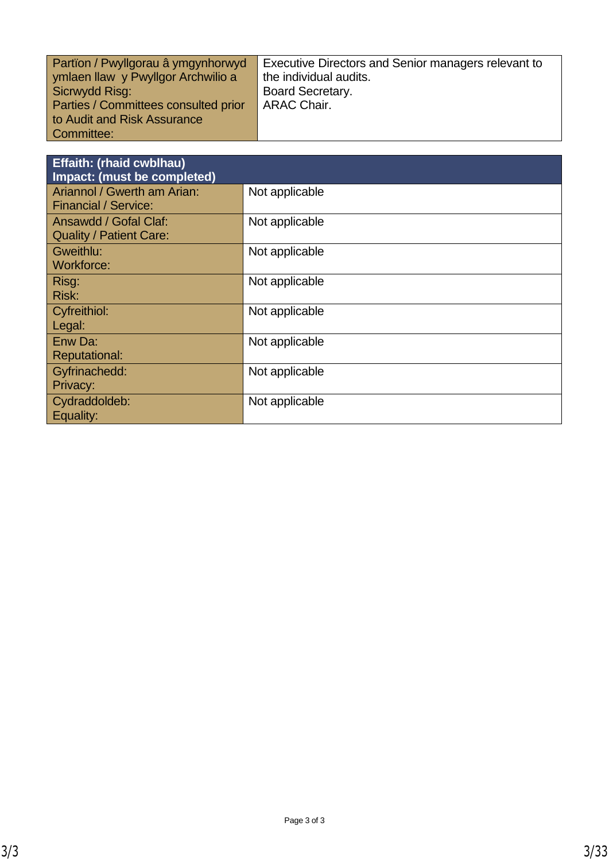| Partion / Pwyllgorau â ymgynhorwyd   | Executive Directors and Senior managers relevant to |
|--------------------------------------|-----------------------------------------------------|
| ymlaen llaw y Pwyllgor Archwilio a   | the individual audits.                              |
| Sicrwydd Risg:                       | <b>Board Secretary.</b>                             |
| Parties / Committees consulted prior | <b>ARAC Chair.</b>                                  |
| to Audit and Risk Assurance          |                                                     |
| Committee:                           |                                                     |

| <b>Effaith: (rhaid cwblhau)</b><br>Impact: (must be completed) |                |
|----------------------------------------------------------------|----------------|
| Ariannol / Gwerth am Arian:<br><b>Financial / Service:</b>     | Not applicable |
| Ansawdd / Gofal Claf:<br><b>Quality / Patient Care:</b>        | Not applicable |
| Gweithlu:<br>Workforce:                                        | Not applicable |
| Risg:<br>Risk:                                                 | Not applicable |
| Cyfreithiol:<br>Legal:                                         | Not applicable |
| Enw Da:<br><b>Reputational:</b>                                | Not applicable |
| Gyfrinachedd:<br>Privacy:                                      | Not applicable |
| Cydraddoldeb:<br>Equality:                                     | Not applicable |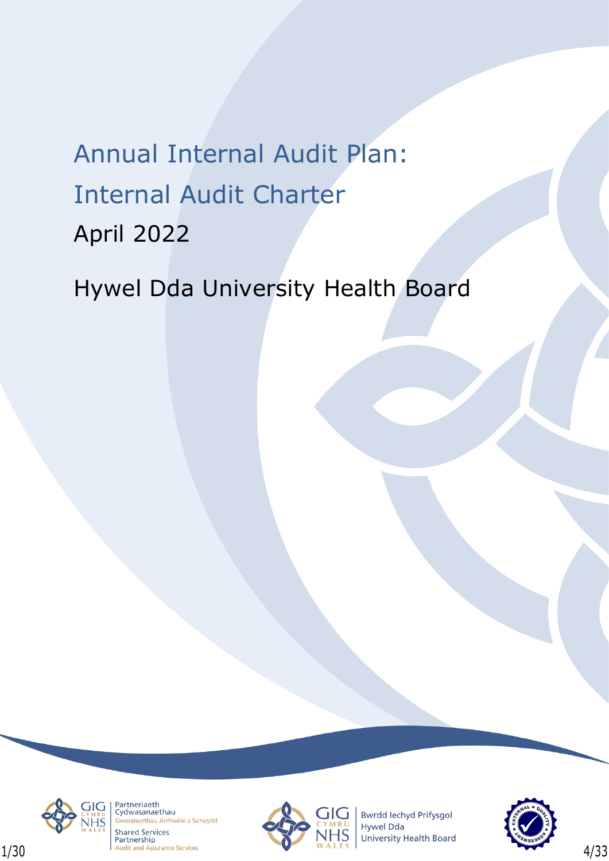# Annual Internal Audit Plan: Internal Audit Charter April 2022

Hywel Dda University Health Board



Partneriaeth Cydwasanaethau sanaethau Archwilio a Sicrwydd **Shared Services** 



**Bwrdd lechyd Prifysgol** Hywel Dda **University Health Board** 

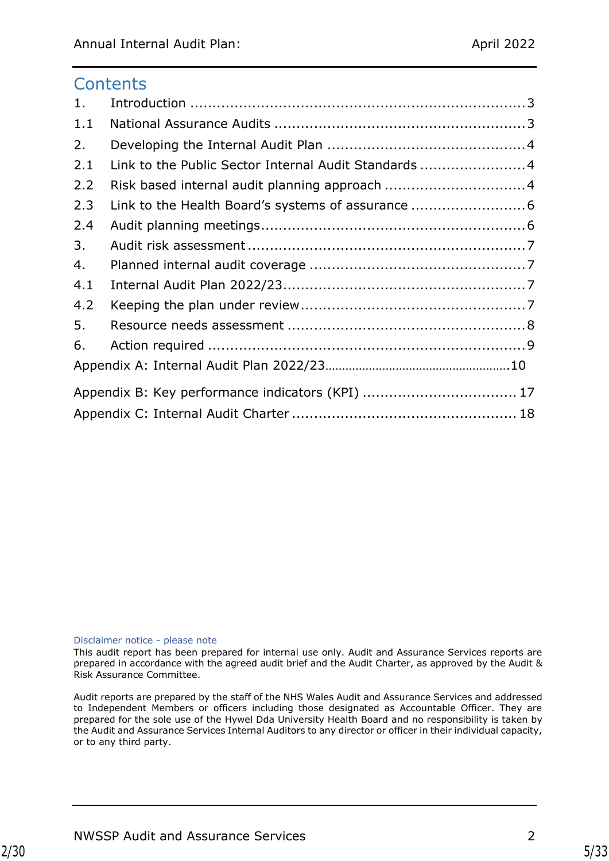## **Contents**

| 1.  |                                                      |  |
|-----|------------------------------------------------------|--|
| 1.1 |                                                      |  |
| 2.  |                                                      |  |
| 2.1 | Link to the Public Sector Internal Audit Standards 4 |  |
| 2.2 | Risk based internal audit planning approach 4        |  |
| 2.3 | Link to the Health Board's systems of assurance 6    |  |
| 2.4 |                                                      |  |
| 3.  |                                                      |  |
| 4.  |                                                      |  |
| 4.1 |                                                      |  |
| 4.2 |                                                      |  |
| 5.  |                                                      |  |
| 6.  |                                                      |  |
|     |                                                      |  |
|     | Appendix B: Key performance indicators (KPI)  17     |  |
|     |                                                      |  |

#### Disclaimer notice - please note

This audit report has been prepared for internal use only. Audit and Assurance Services reports are prepared in accordance with the agreed audit brief and the Audit Charter, as approved by the Audit & Risk Assurance Committee.

Audit reports are prepared by the staff of the NHS Wales Audit and Assurance Services and addressed to Independent Members or officers including those designated as Accountable Officer. They are prepared for the sole use of the Hywel Dda University Health Board and no responsibility is taken by the Audit and Assurance Services Internal Auditors to any director or officer in their individual capacity, or to any third party.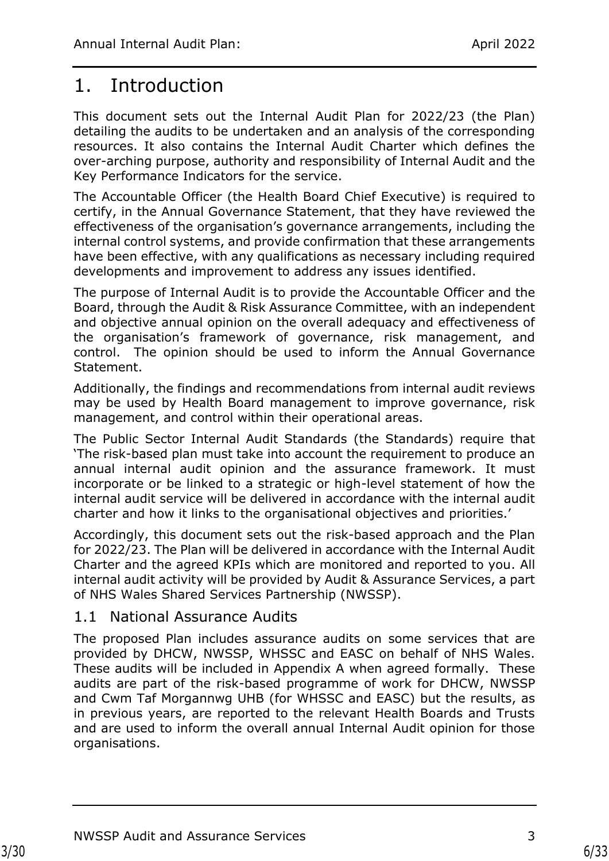# <span id="page-5-0"></span>1. Introduction

This document sets out the Internal Audit Plan for 2022/23 (the Plan) detailing the audits to be undertaken and an analysis of the corresponding resources. It also contains the Internal Audit Charter which defines the over-arching purpose, authority and responsibility of Internal Audit and the Key Performance Indicators for the service.

The Accountable Officer (the Health Board Chief Executive) is required to certify, in the Annual Governance Statement, that they have reviewed the effectiveness of the organisation's governance arrangements, including the internal control systems, and provide confirmation that these arrangements have been effective, with any qualifications as necessary including required developments and improvement to address any issues identified.

The purpose of Internal Audit is to provide the Accountable Officer and the Board, through the Audit & Risk Assurance Committee, with an independent and objective annual opinion on the overall adequacy and effectiveness of the organisation's framework of governance, risk management, and control. The opinion should be used to inform the Annual Governance Statement.

Additionally, the findings and recommendations from internal audit reviews may be used by Health Board management to improve governance, risk management, and control within their operational areas.

The Public Sector Internal Audit Standards (the Standards) require that 'The risk-based plan must take into account the requirement to produce an annual internal audit opinion and the assurance framework. It must incorporate or be linked to a strategic or high-level statement of how the internal audit service will be delivered in accordance with the internal audit charter and how it links to the organisational objectives and priorities.'

Accordingly, this document sets out the risk-based approach and the Plan for 2022/23. The Plan will be delivered in accordance with the Internal Audit Charter and the agreed KPIs which are monitored and reported to you. All internal audit activity will be provided by Audit & Assurance Services, a part of NHS Wales Shared Services Partnership (NWSSP).

## <span id="page-5-1"></span>1.1 National Assurance Audits

The proposed Plan includes assurance audits on some services that are provided by DHCW, NWSSP, WHSSC and EASC on behalf of NHS Wales. These audits will be included in Appendix A when agreed formally. These audits are part of the risk-based programme of work for DHCW, NWSSP and Cwm Taf Morgannwg UHB (for WHSSC and EASC) but the results, as in previous years, are reported to the relevant Health Boards and Trusts and are used to inform the overall annual Internal Audit opinion for those organisations.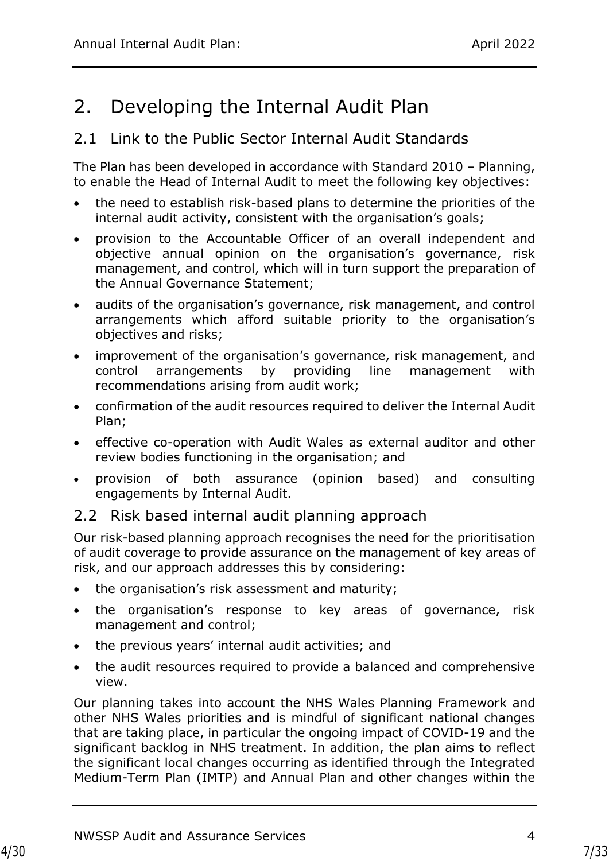# <span id="page-6-0"></span>2. Developing the Internal Audit Plan

## <span id="page-6-1"></span>2.1 Link to the Public Sector Internal Audit Standards

The Plan has been developed in accordance with Standard 2010 – Planning, to enable the Head of Internal Audit to meet the following key objectives:

- the need to establish risk-based plans to determine the priorities of the internal audit activity, consistent with the organisation's goals;
- provision to the Accountable Officer of an overall independent and objective annual opinion on the organisation's governance, risk management, and control, which will in turn support the preparation of the Annual Governance Statement;
- audits of the organisation's governance, risk management, and control arrangements which afford suitable priority to the organisation's objectives and risks;
- improvement of the organisation's governance, risk management, and control arrangements by providing line management with recommendations arising from audit work;
- confirmation of the audit resources required to deliver the Internal Audit Plan;
- effective co-operation with Audit Wales as external auditor and other review bodies functioning in the organisation; and
- provision of both assurance (opinion based) and consulting engagements by Internal Audit.

## <span id="page-6-2"></span>2.2 Risk based internal audit planning approach

Our risk-based planning approach recognises the need for the prioritisation of audit coverage to provide assurance on the management of key areas of risk, and our approach addresses this by considering:

- the organisation's risk assessment and maturity;
- the organisation's response to key areas of governance, risk management and control;
- the previous years' internal audit activities; and
- the audit resources required to provide a balanced and comprehensive view.

Our planning takes into account the NHS Wales Planning Framework and other NHS Wales priorities and is mindful of significant national changes that are taking place, in particular the ongoing impact of COVID-19 and the significant backlog in NHS treatment. In addition, the plan aims to reflect the significant local changes occurring as identified through the Integrated Medium-Term Plan (IMTP) and Annual Plan and other changes within the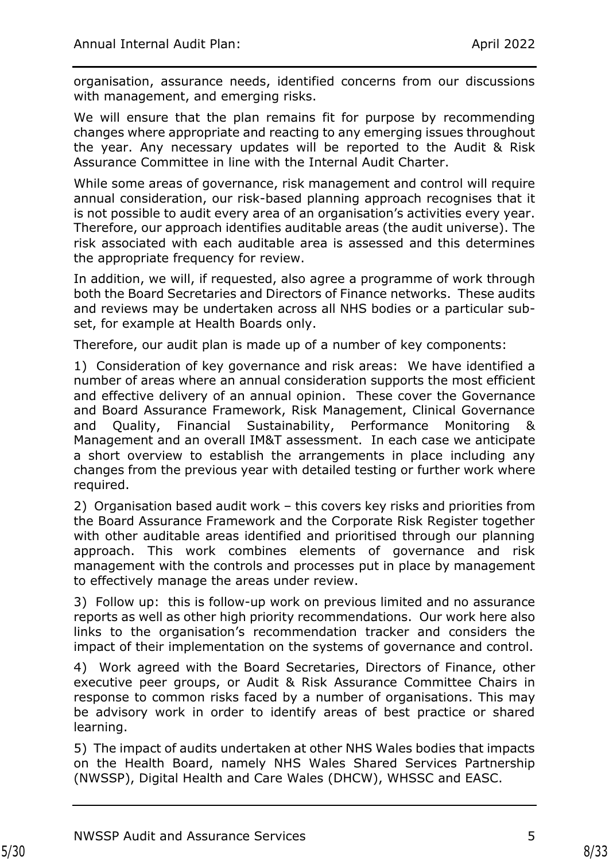organisation, assurance needs, identified concerns from our discussions with management, and emerging risks.

We will ensure that the plan remains fit for purpose by recommending changes where appropriate and reacting to any emerging issues throughout the year. Any necessary updates will be reported to the Audit & Risk Assurance Committee in line with the Internal Audit Charter.

While some areas of governance, risk management and control will require annual consideration, our risk-based planning approach recognises that it is not possible to audit every area of an organisation's activities every year. Therefore, our approach identifies auditable areas (the audit universe). The risk associated with each auditable area is assessed and this determines the appropriate frequency for review.

In addition, we will, if requested, also agree a programme of work through both the Board Secretaries and Directors of Finance networks. These audits and reviews may be undertaken across all NHS bodies or a particular subset, for example at Health Boards only.

Therefore, our audit plan is made up of a number of key components:

1) Consideration of key governance and risk areas: We have identified a number of areas where an annual consideration supports the most efficient and effective delivery of an annual opinion. These cover the Governance and Board Assurance Framework, Risk Management, Clinical Governance and Quality, Financial Sustainability, Performance Monitoring & Management and an overall IM&T assessment. In each case we anticipate a short overview to establish the arrangements in place including any changes from the previous year with detailed testing or further work where required.

2) Organisation based audit work – this covers key risks and priorities from the Board Assurance Framework and the Corporate Risk Register together with other auditable areas identified and prioritised through our planning approach. This work combines elements of governance and risk management with the controls and processes put in place by management to effectively manage the areas under review.

3) Follow up: this is follow-up work on previous limited and no assurance reports as well as other high priority recommendations. Our work here also links to the organisation's recommendation tracker and considers the impact of their implementation on the systems of governance and control.

4) Work agreed with the Board Secretaries, Directors of Finance, other executive peer groups, or Audit & Risk Assurance Committee Chairs in response to common risks faced by a number of organisations. This may be advisory work in order to identify areas of best practice or shared learning.

5) The impact of audits undertaken at other NHS Wales bodies that impacts on the Health Board, namely NHS Wales Shared Services Partnership (NWSSP), Digital Health and Care Wales (DHCW), WHSSC and EASC.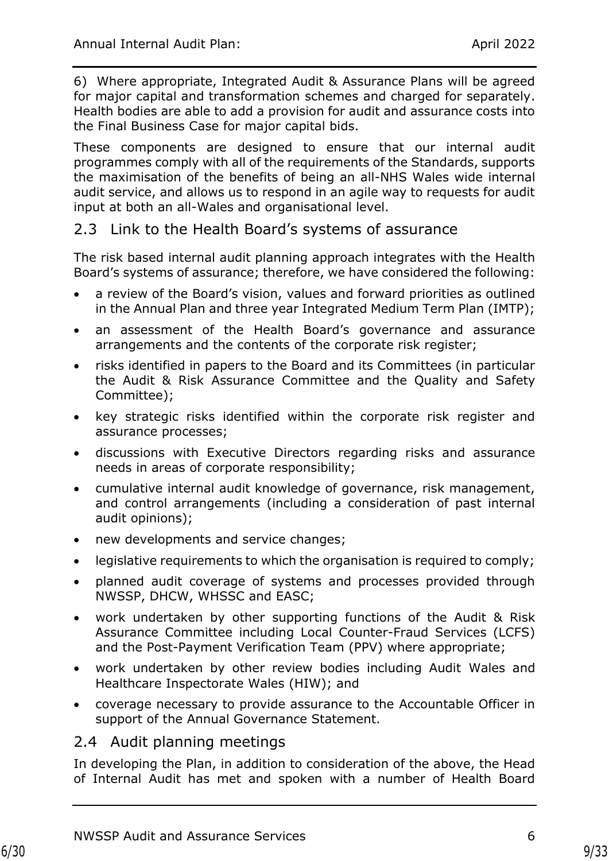6) Where appropriate, Integrated Audit & Assurance Plans will be agreed for major capital and transformation schemes and charged for separately. Health bodies are able to add a provision for audit and assurance costs into the Final Business Case for major capital bids.

These components are designed to ensure that our internal audit programmes comply with all of the requirements of the Standards, supports the maximisation of the benefits of being an all-NHS Wales wide internal audit service, and allows us to respond in an agile way to requests for audit input at both an all-Wales and organisational level.

## <span id="page-8-0"></span>2.3 Link to the Health Board's systems of assurance

The risk based internal audit planning approach integrates with the Health Board's systems of assurance; therefore, we have considered the following:

- a review of the Board's vision, values and forward priorities as outlined in the Annual Plan and three year Integrated Medium Term Plan (IMTP);
- an assessment of the Health Board's governance and assurance arrangements and the contents of the corporate risk register;
- risks identified in papers to the Board and its Committees (in particular the Audit & Risk Assurance Committee and the Quality and Safety Committee);
- key strategic risks identified within the corporate risk register and assurance processes;
- discussions with Executive Directors regarding risks and assurance needs in areas of corporate responsibility;
- cumulative internal audit knowledge of governance, risk management, and control arrangements (including a consideration of past internal audit opinions);
- new developments and service changes;
- legislative requirements to which the organisation is required to comply;
- planned audit coverage of systems and processes provided through NWSSP, DHCW, WHSSC and EASC;
- work undertaken by other supporting functions of the Audit & Risk Assurance Committee including Local Counter-Fraud Services (LCFS) and the Post-Payment Verification Team (PPV) where appropriate;
- work undertaken by other review bodies including Audit Wales and Healthcare Inspectorate Wales (HIW); and
- coverage necessary to provide assurance to the Accountable Officer in support of the Annual Governance Statement.

## <span id="page-8-1"></span>2.4 Audit planning meetings

In developing the Plan, in addition to consideration of the above, the Head of Internal Audit has met and spoken with a number of Health Board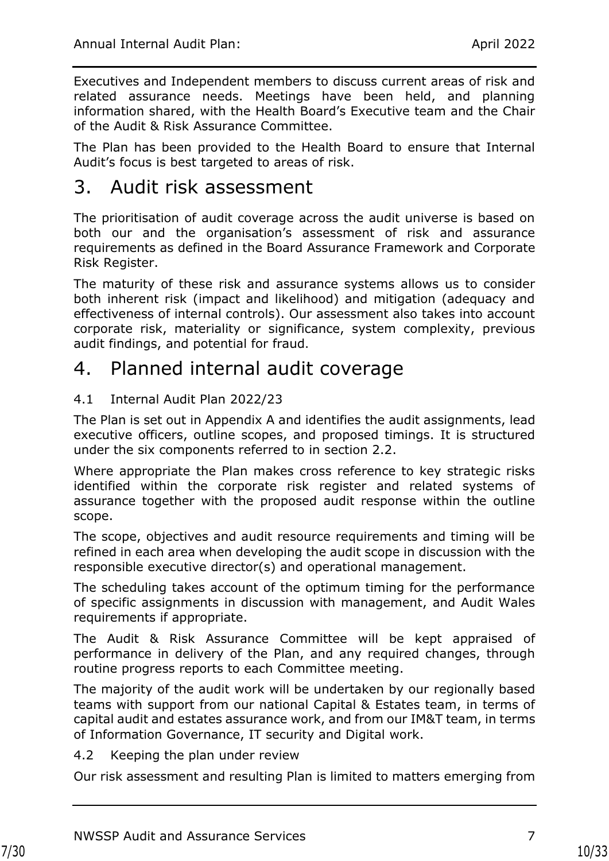Executives and Independent members to discuss current areas of risk and related assurance needs. Meetings have been held, and planning information shared, with the Health Board's Executive team and the Chair of the Audit & Risk Assurance Committee.

The Plan has been provided to the Health Board to ensure that Internal Audit's focus is best targeted to areas of risk.

## <span id="page-9-0"></span>3. Audit risk assessment

The prioritisation of audit coverage across the audit universe is based on both our and the organisation's assessment of risk and assurance requirements as defined in the Board Assurance Framework and Corporate Risk Register.

The maturity of these risk and assurance systems allows us to consider both inherent risk (impact and likelihood) and mitigation (adequacy and effectiveness of internal controls). Our assessment also takes into account corporate risk, materiality or significance, system complexity, previous audit findings, and potential for fraud.

# <span id="page-9-1"></span>4. Planned internal audit coverage

#### <span id="page-9-2"></span>4.1 Internal Audit Plan 2022/23

The Plan is set out in Appendix A and identifies the audit assignments, lead executive officers, outline scopes, and proposed timings. It is structured under the six components referred to in section 2.2.

Where appropriate the Plan makes cross reference to key strategic risks identified within the corporate risk register and related systems of assurance together with the proposed audit response within the outline scope.

The scope, objectives and audit resource requirements and timing will be refined in each area when developing the audit scope in discussion with the responsible executive director(s) and operational management.

The scheduling takes account of the optimum timing for the performance of specific assignments in discussion with management, and Audit Wales requirements if appropriate.

The Audit & Risk Assurance Committee will be kept appraised of performance in delivery of the Plan, and any required changes, through routine progress reports to each Committee meeting.

The majority of the audit work will be undertaken by our regionally based teams with support from our national Capital & Estates team, in terms of capital audit and estates assurance work, and from our IM&T team, in terms of Information Governance, IT security and Digital work.

#### <span id="page-9-3"></span>4.2 Keeping the plan under review

Our risk assessment and resulting Plan is limited to matters emerging from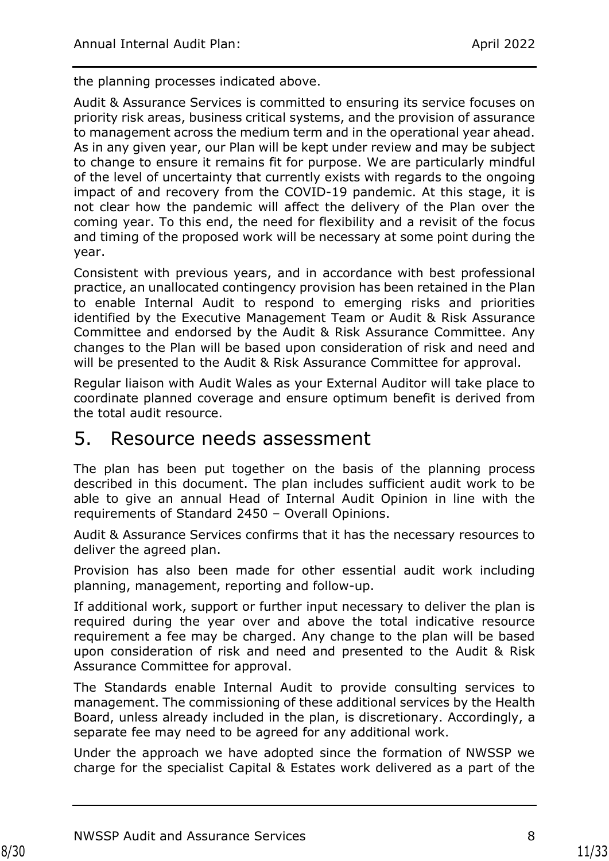the planning processes indicated above.

Audit & Assurance Services is committed to ensuring its service focuses on priority risk areas, business critical systems, and the provision of assurance to management across the medium term and in the operational year ahead. As in any given year, our Plan will be kept under review and may be subject to change to ensure it remains fit for purpose. We are particularly mindful of the level of uncertainty that currently exists with regards to the ongoing impact of and recovery from the COVID-19 pandemic. At this stage, it is not clear how the pandemic will affect the delivery of the Plan over the coming year. To this end, the need for flexibility and a revisit of the focus and timing of the proposed work will be necessary at some point during the year.

Consistent with previous years, and in accordance with best professional practice, an unallocated contingency provision has been retained in the Plan to enable Internal Audit to respond to emerging risks and priorities identified by the Executive Management Team or Audit & Risk Assurance Committee and endorsed by the Audit & Risk Assurance Committee. Any changes to the Plan will be based upon consideration of risk and need and will be presented to the Audit & Risk Assurance Committee for approval.

Regular liaison with Audit Wales as your External Auditor will take place to coordinate planned coverage and ensure optimum benefit is derived from the total audit resource.

## <span id="page-10-0"></span>5. Resource needs assessment

The plan has been put together on the basis of the planning process described in this document. The plan includes sufficient audit work to be able to give an annual Head of Internal Audit Opinion in line with the requirements of Standard 2450 – Overall Opinions.

Audit & Assurance Services confirms that it has the necessary resources to deliver the agreed plan.

Provision has also been made for other essential audit work including planning, management, reporting and follow-up.

If additional work, support or further input necessary to deliver the plan is required during the year over and above the total indicative resource requirement a fee may be charged. Any change to the plan will be based upon consideration of risk and need and presented to the Audit & Risk Assurance Committee for approval.

The Standards enable Internal Audit to provide consulting services to management. The commissioning of these additional services by the Health Board, unless already included in the plan, is discretionary. Accordingly, a separate fee may need to be agreed for any additional work.

Under the approach we have adopted since the formation of NWSSP we charge for the specialist Capital & Estates work delivered as a part of the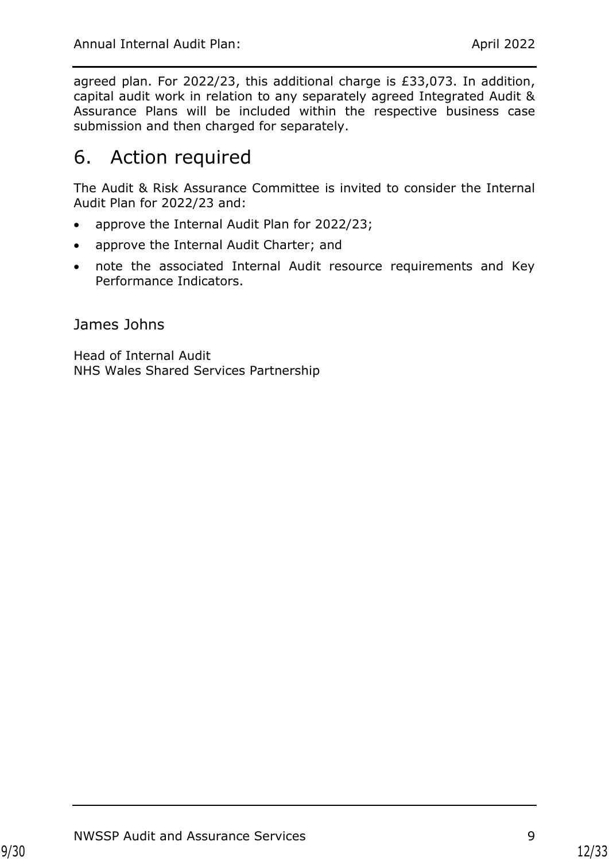agreed plan. For 2022/23, this additional charge is £33,073. In addition, capital audit work in relation to any separately agreed Integrated Audit & Assurance Plans will be included within the respective business case submission and then charged for separately.

# <span id="page-11-0"></span>6. Action required

The Audit & Risk Assurance Committee is invited to consider the Internal Audit Plan for 2022/23 and:

- approve the Internal Audit Plan for 2022/23;
- approve the Internal Audit Charter; and
- note the associated Internal Audit resource requirements and Key Performance Indicators.

James Johns

Head of Internal Audit NHS Wales Shared Services Partnership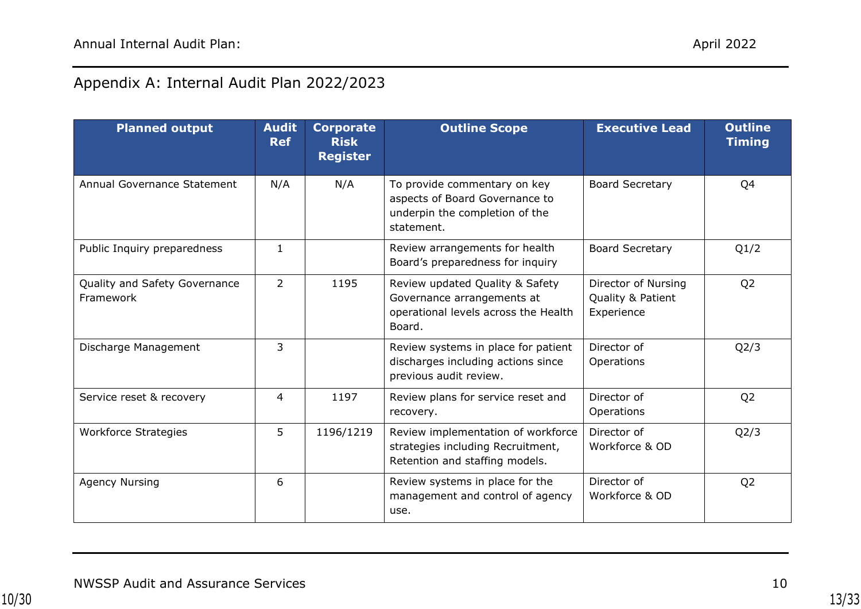## Appendix A: Internal Audit Plan 2022/2023

| <b>Planned output</b>                      | <b>Audit</b><br><b>Ref</b> | <b>Corporate</b><br><b>Risk</b><br><b>Register</b> | <b>Outline Scope</b>                                                                                            | <b>Executive Lead</b>                                  | <b>Outline</b><br><b>Timing</b> |
|--------------------------------------------|----------------------------|----------------------------------------------------|-----------------------------------------------------------------------------------------------------------------|--------------------------------------------------------|---------------------------------|
| Annual Governance Statement                | N/A                        | N/A                                                | To provide commentary on key<br>aspects of Board Governance to<br>underpin the completion of the<br>statement.  | <b>Board Secretary</b>                                 | Q4                              |
| Public Inquiry preparedness                | $\mathbf{1}$               |                                                    | Review arrangements for health<br>Board's preparedness for inquiry                                              | <b>Board Secretary</b>                                 | Q1/2                            |
| Quality and Safety Governance<br>Framework | 2                          | 1195                                               | Review updated Quality & Safety<br>Governance arrangements at<br>operational levels across the Health<br>Board. | Director of Nursing<br>Quality & Patient<br>Experience | Q <sub>2</sub>                  |
| Discharge Management                       | $\overline{3}$             |                                                    | Review systems in place for patient<br>discharges including actions since<br>previous audit review.             | Director of<br>Operations                              | Q2/3                            |
| Service reset & recovery                   | 4                          | 1197                                               | Review plans for service reset and<br>recovery.                                                                 | Director of<br>Operations                              | Q <sub>2</sub>                  |
| <b>Workforce Strategies</b>                | 5                          | 1196/1219                                          | Review implementation of workforce<br>strategies including Recruitment,<br>Retention and staffing models.       | Director of<br>Workforce & OD                          | Q <sub>2</sub> /3               |
| <b>Agency Nursing</b>                      | 6                          |                                                    | Review systems in place for the<br>management and control of agency<br>use.                                     | Director of<br>Workforce & OD                          | Q <sub>2</sub>                  |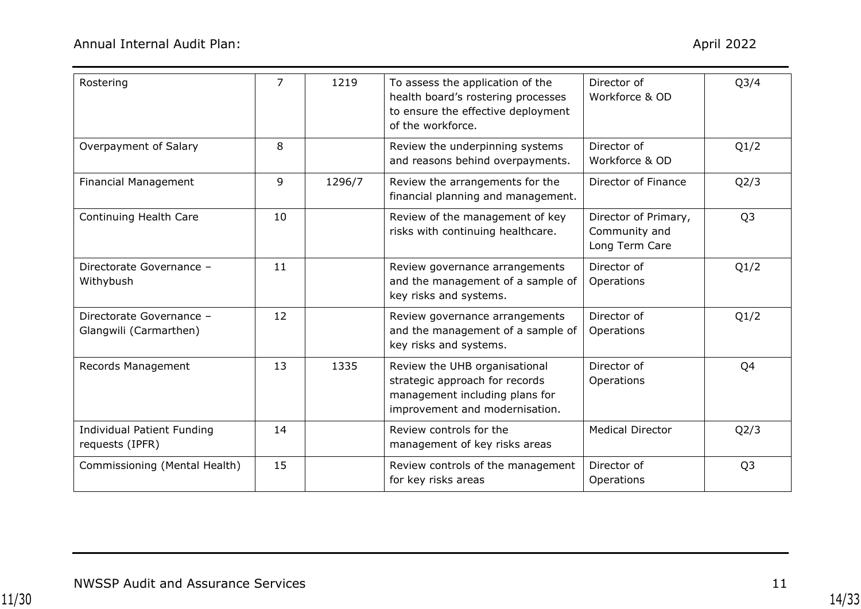| Rostering                                            | $\overline{7}$ | 1219   | To assess the application of the<br>health board's rostering processes<br>to ensure the effective deployment<br>of the workforce.   | Director of<br>Workforce & OD                           | Q <sub>3</sub> /4 |
|------------------------------------------------------|----------------|--------|-------------------------------------------------------------------------------------------------------------------------------------|---------------------------------------------------------|-------------------|
| Overpayment of Salary                                | 8              |        | Review the underpinning systems<br>and reasons behind overpayments.                                                                 | Director of<br>Workforce & OD                           | Q1/2              |
| <b>Financial Management</b>                          | 9              | 1296/7 | Review the arrangements for the<br>financial planning and management.                                                               | Director of Finance                                     | Q2/3              |
| Continuing Health Care                               | 10             |        | Review of the management of key<br>risks with continuing healthcare.                                                                | Director of Primary,<br>Community and<br>Long Term Care | Q <sub>3</sub>    |
| Directorate Governance -<br>Withybush                | 11             |        | Review governance arrangements<br>and the management of a sample of<br>key risks and systems.                                       | Director of<br>Operations                               | Q1/2              |
| Directorate Governance -<br>Glangwili (Carmarthen)   | 12             |        | Review governance arrangements<br>and the management of a sample of<br>key risks and systems.                                       | Director of<br>Operations                               | Q1/2              |
| Records Management                                   | 13             | 1335   | Review the UHB organisational<br>strategic approach for records<br>management including plans for<br>improvement and modernisation. | Director of<br>Operations                               | Q4                |
| <b>Individual Patient Funding</b><br>requests (IPFR) | 14             |        | Review controls for the<br>management of key risks areas                                                                            | <b>Medical Director</b>                                 | Q2/3              |
| Commissioning (Mental Health)                        | 15             |        | Review controls of the management<br>for key risks areas                                                                            | Director of<br>Operations                               | Q <sub>3</sub>    |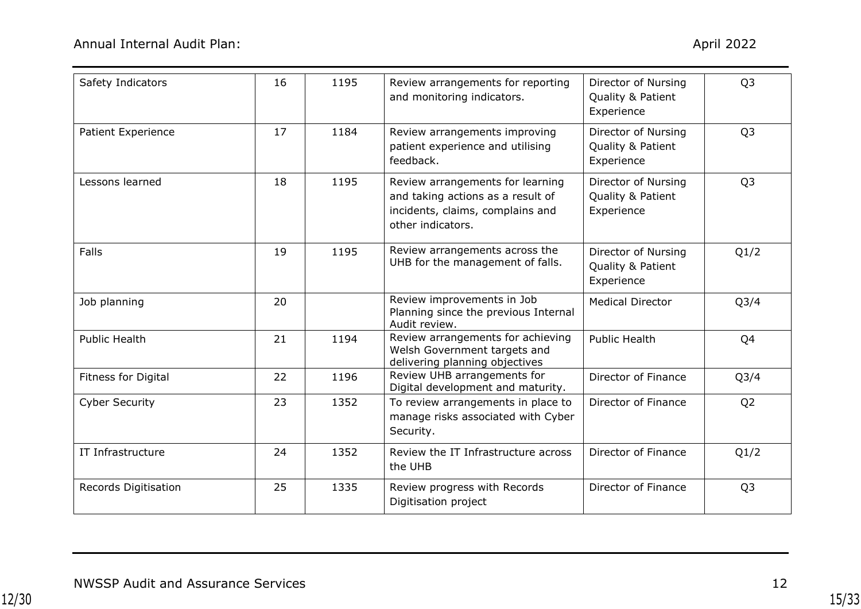| Safety Indicators         | 16 | 1195 | Review arrangements for reporting<br>and monitoring indicators.                                                                | Director of Nursing<br>Quality & Patient<br>Experience | Q <sub>3</sub>    |
|---------------------------|----|------|--------------------------------------------------------------------------------------------------------------------------------|--------------------------------------------------------|-------------------|
| <b>Patient Experience</b> | 17 | 1184 | Review arrangements improving<br>patient experience and utilising<br>feedback.                                                 | Director of Nursing<br>Quality & Patient<br>Experience | Q <sub>3</sub>    |
| Lessons learned           | 18 | 1195 | Review arrangements for learning<br>and taking actions as a result of<br>incidents, claims, complains and<br>other indicators. | Director of Nursing<br>Quality & Patient<br>Experience | Q <sub>3</sub>    |
| Falls                     | 19 | 1195 | Review arrangements across the<br>UHB for the management of falls.                                                             | Director of Nursing<br>Quality & Patient<br>Experience | Q1/2              |
| Job planning              | 20 |      | Review improvements in Job<br>Planning since the previous Internal<br>Audit review.                                            | <b>Medical Director</b>                                | Q <sub>3</sub> /4 |
| <b>Public Health</b>      | 21 | 1194 | Review arrangements for achieving<br>Welsh Government targets and<br>delivering planning objectives                            | <b>Public Health</b>                                   | Q4                |
| Fitness for Digital       | 22 | 1196 | Review UHB arrangements for<br>Digital development and maturity.                                                               | Director of Finance                                    | Q <sub>3</sub> /4 |
| <b>Cyber Security</b>     | 23 | 1352 | To review arrangements in place to<br>manage risks associated with Cyber<br>Security.                                          | Director of Finance                                    | Q <sub>2</sub>    |
| IT Infrastructure         | 24 | 1352 | Review the IT Infrastructure across<br>the UHB                                                                                 | Director of Finance                                    | Q1/2              |
| Records Digitisation      | 25 | 1335 | Review progress with Records<br>Digitisation project                                                                           | Director of Finance                                    | Q <sub>3</sub>    |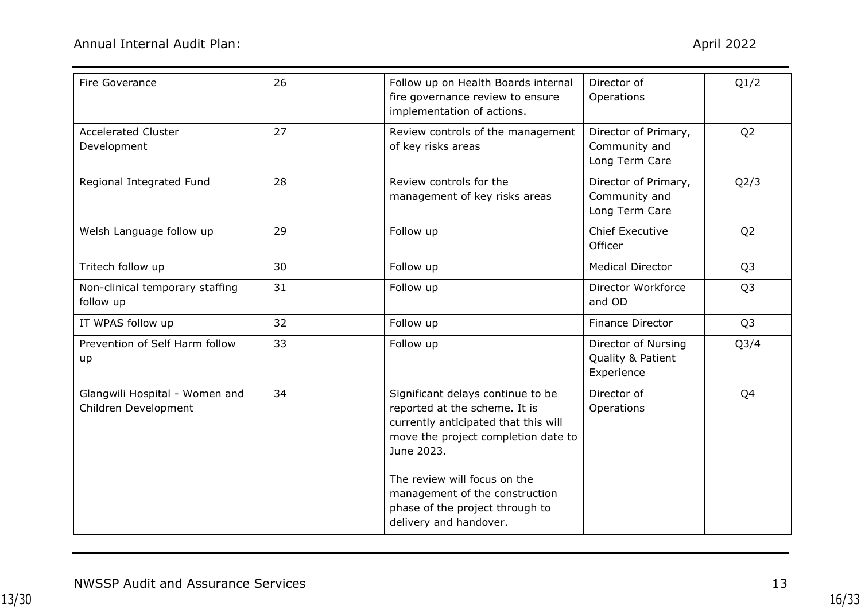| Fire Goverance                                         | 26 | Follow up on Health Boards internal<br>fire governance review to ensure<br>implementation of actions.                                                                                                                                                                                          | Director of<br>Operations                               | Q1/2              |
|--------------------------------------------------------|----|------------------------------------------------------------------------------------------------------------------------------------------------------------------------------------------------------------------------------------------------------------------------------------------------|---------------------------------------------------------|-------------------|
| <b>Accelerated Cluster</b><br>Development              | 27 | Review controls of the management<br>of key risks areas                                                                                                                                                                                                                                        | Director of Primary,<br>Community and<br>Long Term Care | Q <sub>2</sub>    |
| Regional Integrated Fund                               | 28 | Review controls for the<br>management of key risks areas                                                                                                                                                                                                                                       | Director of Primary,<br>Community and<br>Long Term Care | Q2/3              |
| Welsh Language follow up                               | 29 | Follow up                                                                                                                                                                                                                                                                                      | <b>Chief Executive</b><br>Officer                       | Q <sub>2</sub>    |
| Tritech follow up                                      | 30 | Follow up                                                                                                                                                                                                                                                                                      | <b>Medical Director</b>                                 | Q <sub>3</sub>    |
| Non-clinical temporary staffing<br>follow up           | 31 | Follow up                                                                                                                                                                                                                                                                                      | Director Workforce<br>and OD                            | Q <sub>3</sub>    |
| IT WPAS follow up                                      | 32 | Follow up                                                                                                                                                                                                                                                                                      | <b>Finance Director</b>                                 | Q <sub>3</sub>    |
| Prevention of Self Harm follow<br>up                   | 33 | Follow up                                                                                                                                                                                                                                                                                      | Director of Nursing<br>Quality & Patient<br>Experience  | Q <sub>3</sub> /4 |
| Glangwili Hospital - Women and<br>Children Development | 34 | Significant delays continue to be<br>reported at the scheme. It is<br>currently anticipated that this will<br>move the project completion date to<br>June 2023.<br>The review will focus on the<br>management of the construction<br>phase of the project through to<br>delivery and handover. | Director of<br>Operations                               | Q4                |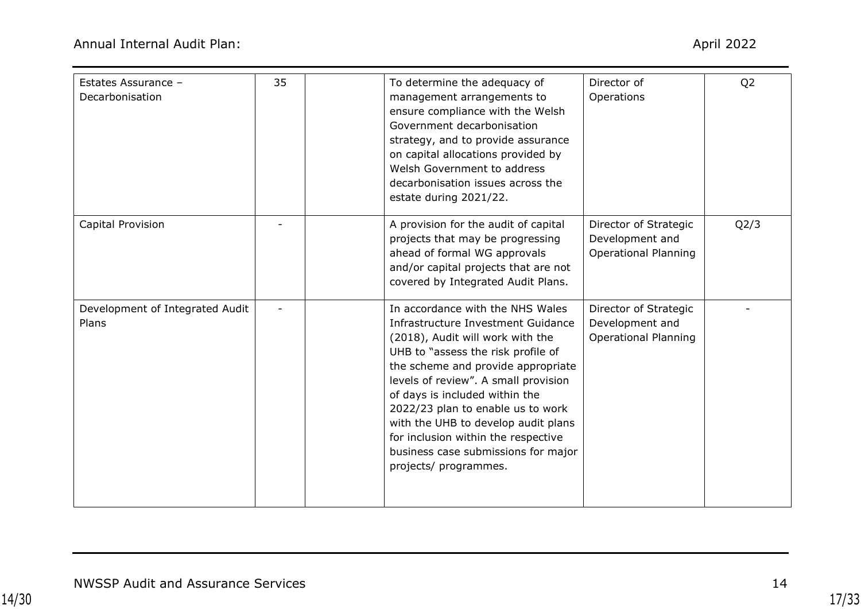| Estates Assurance -<br>Decarbonisation   | 35 | To determine the adequacy of<br>management arrangements to<br>ensure compliance with the Welsh<br>Government decarbonisation<br>strategy, and to provide assurance<br>on capital allocations provided by<br>Welsh Government to address<br>decarbonisation issues across the<br>estate during 2021/22.                                                                                                                                              | Director of<br>Operations                                               | Q <sub>2</sub> |
|------------------------------------------|----|-----------------------------------------------------------------------------------------------------------------------------------------------------------------------------------------------------------------------------------------------------------------------------------------------------------------------------------------------------------------------------------------------------------------------------------------------------|-------------------------------------------------------------------------|----------------|
| Capital Provision                        |    | A provision for the audit of capital<br>projects that may be progressing<br>ahead of formal WG approvals<br>and/or capital projects that are not<br>covered by Integrated Audit Plans.                                                                                                                                                                                                                                                              | Director of Strategic<br>Development and<br><b>Operational Planning</b> | Q2/3           |
| Development of Integrated Audit<br>Plans |    | In accordance with the NHS Wales<br>Infrastructure Investment Guidance<br>(2018), Audit will work with the<br>UHB to "assess the risk profile of<br>the scheme and provide appropriate<br>levels of review". A small provision<br>of days is included within the<br>2022/23 plan to enable us to work<br>with the UHB to develop audit plans<br>for inclusion within the respective<br>business case submissions for major<br>projects/ programmes. | Director of Strategic<br>Development and<br><b>Operational Planning</b> |                |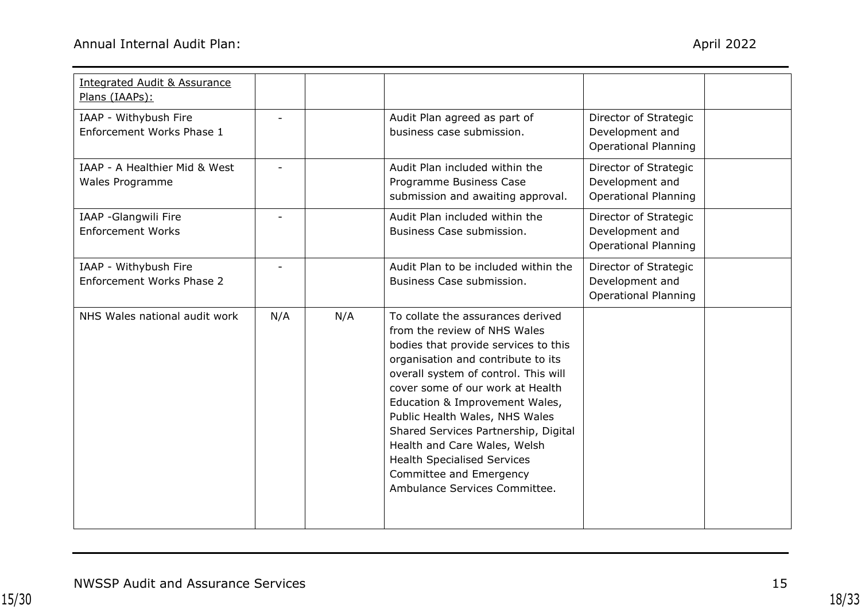| <b>Integrated Audit &amp; Assurance</b><br>Plans (IAAPs): |     |     |                                                                                                                                                                                                                                                                                                                                                                                                                                                                           |                                                                         |  |
|-----------------------------------------------------------|-----|-----|---------------------------------------------------------------------------------------------------------------------------------------------------------------------------------------------------------------------------------------------------------------------------------------------------------------------------------------------------------------------------------------------------------------------------------------------------------------------------|-------------------------------------------------------------------------|--|
| IAAP - Withybush Fire<br>Enforcement Works Phase 1        |     |     | Audit Plan agreed as part of<br>business case submission.                                                                                                                                                                                                                                                                                                                                                                                                                 | Director of Strategic<br>Development and<br><b>Operational Planning</b> |  |
| IAAP - A Healthier Mid & West<br>Wales Programme          |     |     | Audit Plan included within the<br>Programme Business Case<br>submission and awaiting approval.                                                                                                                                                                                                                                                                                                                                                                            | Director of Strategic<br>Development and<br><b>Operational Planning</b> |  |
| IAAP -Glangwili Fire<br><b>Enforcement Works</b>          |     |     | Audit Plan included within the<br>Business Case submission.                                                                                                                                                                                                                                                                                                                                                                                                               | Director of Strategic<br>Development and<br><b>Operational Planning</b> |  |
| IAAP - Withybush Fire<br>Enforcement Works Phase 2        |     |     | Audit Plan to be included within the<br>Business Case submission.                                                                                                                                                                                                                                                                                                                                                                                                         | Director of Strategic<br>Development and<br><b>Operational Planning</b> |  |
| NHS Wales national audit work                             | N/A | N/A | To collate the assurances derived<br>from the review of NHS Wales<br>bodies that provide services to this<br>organisation and contribute to its<br>overall system of control. This will<br>cover some of our work at Health<br>Education & Improvement Wales,<br>Public Health Wales, NHS Wales<br>Shared Services Partnership, Digital<br>Health and Care Wales, Welsh<br><b>Health Specialised Services</b><br>Committee and Emergency<br>Ambulance Services Committee. |                                                                         |  |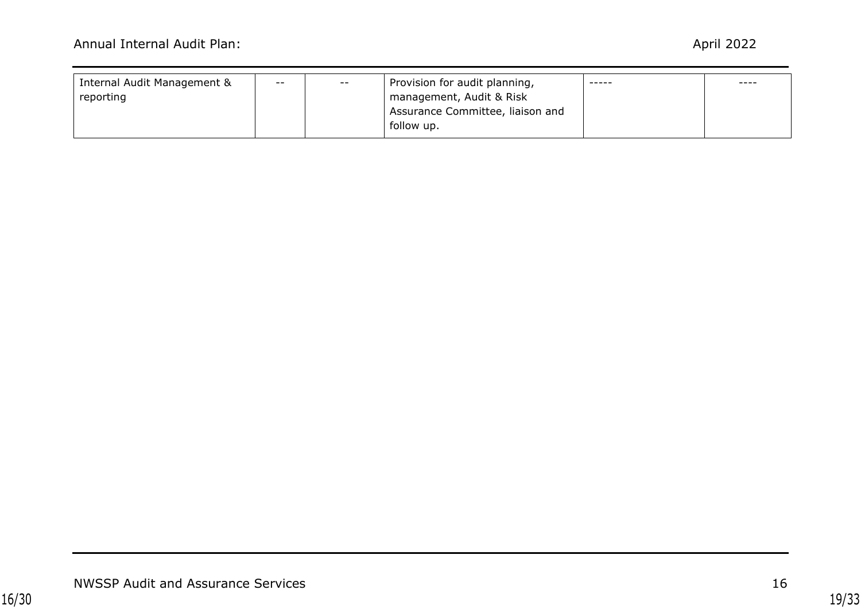| Internal Audit Management & | $- -$ | $- -$                    | Provision for audit planning,    | ----- | ---- |
|-----------------------------|-------|--------------------------|----------------------------------|-------|------|
| reporting                   |       | management, Audit & Risk |                                  |       |      |
|                             |       |                          | Assurance Committee, liaison and |       |      |
|                             |       |                          | follow up.                       |       |      |
|                             |       |                          |                                  |       |      |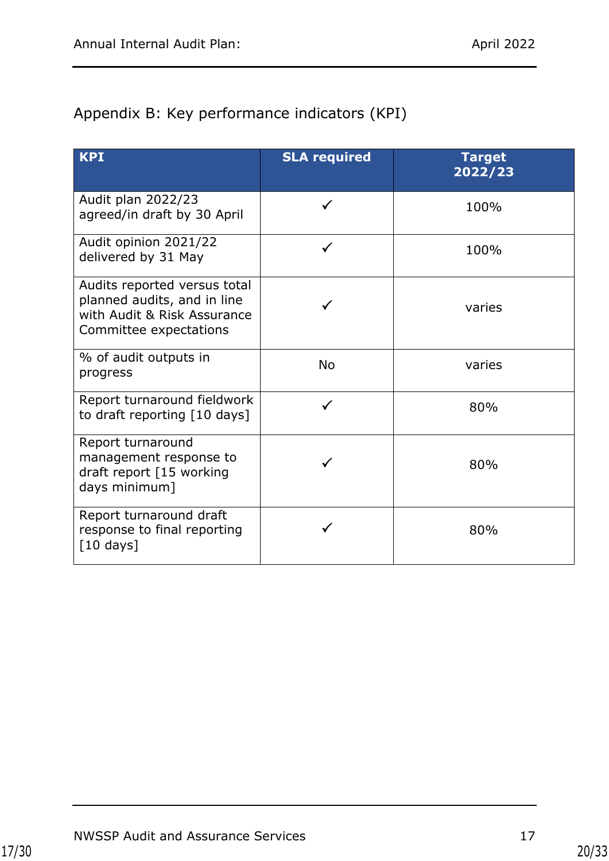## <span id="page-19-0"></span>Appendix B: Key performance indicators (KPI)

| <b>KPI</b>                                                                                                           | <b>SLA required</b> | <b>Target</b><br>2022/23 |
|----------------------------------------------------------------------------------------------------------------------|---------------------|--------------------------|
| Audit plan 2022/23<br>agreed/in draft by 30 April                                                                    | $\checkmark$        | 100%                     |
| Audit opinion 2021/22<br>delivered by 31 May                                                                         | ✓                   | 100%                     |
| Audits reported versus total<br>planned audits, and in line<br>with Audit & Risk Assurance<br>Committee expectations |                     | varies                   |
| % of audit outputs in<br>progress                                                                                    | <b>No</b>           | varies                   |
| Report turnaround fieldwork<br>to draft reporting [10 days]                                                          | ✓                   | 80%                      |
| Report turnaround<br>management response to<br>draft report [15 working<br>days minimum]                             |                     | 80%                      |
| Report turnaround draft<br>response to final reporting<br>$\lceil 10 \text{ days} \rceil$                            |                     | 80%                      |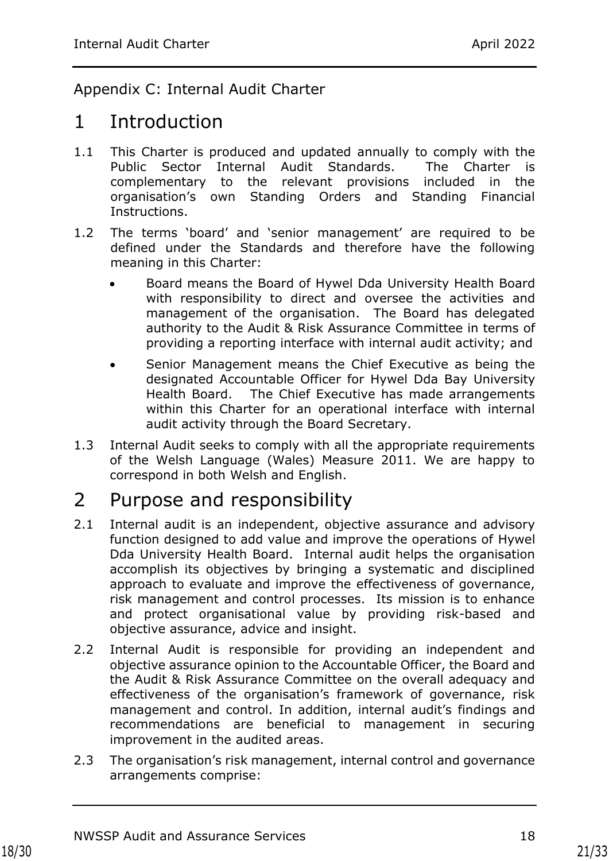## <span id="page-20-0"></span>Appendix C: Internal Audit Charter

## 1 Introduction

- 1.1 This Charter is produced and updated annually to comply with the Public Sector Internal Audit Standards. The Charter is complementary to the relevant provisions included in the organisation's own Standing Orders and Standing Financial Instructions.
- 1.2 The terms 'board' and 'senior management' are required to be defined under the Standards and therefore have the following meaning in this Charter:
	- Board means the Board of Hywel Dda University Health Board with responsibility to direct and oversee the activities and management of the organisation. The Board has delegated authority to the Audit & Risk Assurance Committee in terms of providing a reporting interface with internal audit activity; and
	- Senior Management means the Chief Executive as being the designated Accountable Officer for Hywel Dda Bay University Health Board. The Chief Executive has made arrangements within this Charter for an operational interface with internal audit activity through the Board Secretary.
- 1.3 Internal Audit seeks to comply with all the appropriate requirements of the Welsh Language (Wales) Measure 2011. We are happy to correspond in both Welsh and English.

## 2 Purpose and responsibility

- 2.1 Internal audit is an independent, objective assurance and advisory function designed to add value and improve the operations of Hywel Dda University Health Board. Internal audit helps the organisation accomplish its objectives by bringing a systematic and disciplined approach to evaluate and improve the effectiveness of governance, risk management and control processes. Its mission is to enhance and protect organisational value by providing risk-based and objective assurance, advice and insight.
- 2.2 Internal Audit is responsible for providing an independent and objective assurance opinion to the Accountable Officer, the Board and the Audit & Risk Assurance Committee on the overall adequacy and effectiveness of the organisation's framework of governance, risk management and control. In addition, internal audit's findings and recommendations are beneficial to management in securing improvement in the audited areas.
- 2.3 The organisation's risk management, internal control and governance arrangements comprise: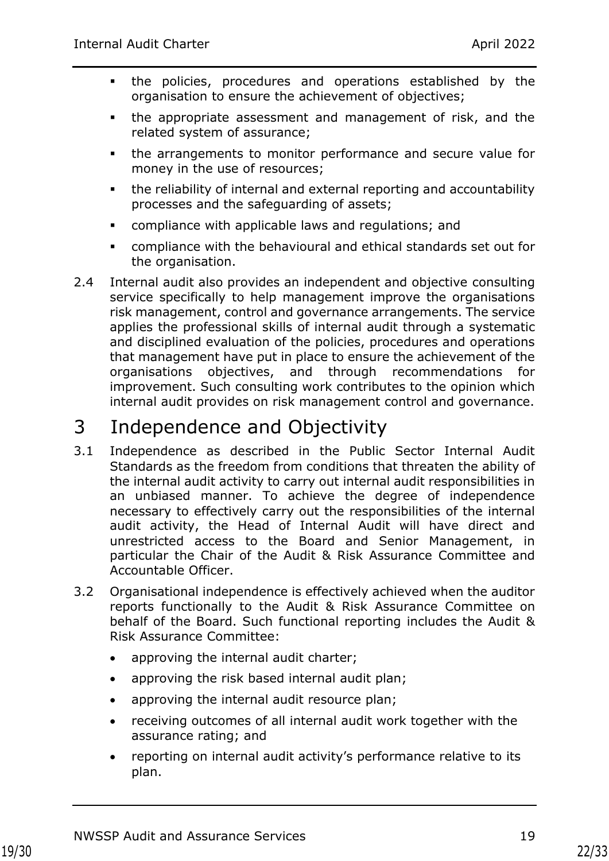- the policies, procedures and operations established by the organisation to ensure the achievement of objectives;
- the appropriate assessment and management of risk, and the related system of assurance;
- the arrangements to monitor performance and secure value for money in the use of resources;
- the reliability of internal and external reporting and accountability processes and the safeguarding of assets;
- compliance with applicable laws and regulations; and
- compliance with the behavioural and ethical standards set out for the organisation.
- 2.4 Internal audit also provides an independent and objective consulting service specifically to help management improve the organisations risk management, control and governance arrangements. The service applies the professional skills of internal audit through a systematic and disciplined evaluation of the policies, procedures and operations that management have put in place to ensure the achievement of the organisations objectives, and through recommendations for improvement. Such consulting work contributes to the opinion which internal audit provides on risk management control and governance.

# 3 Independence and Objectivity

- 3.1 Independence as described in the Public Sector Internal Audit Standards as the freedom from conditions that threaten the ability of the internal audit activity to carry out internal audit responsibilities in an unbiased manner. To achieve the degree of independence necessary to effectively carry out the responsibilities of the internal audit activity, the Head of Internal Audit will have direct and unrestricted access to the Board and Senior Management, in particular the Chair of the Audit & Risk Assurance Committee and Accountable Officer.
- 3.2 Organisational independence is effectively achieved when the auditor reports functionally to the Audit & Risk Assurance Committee on behalf of the Board. Such functional reporting includes the Audit & Risk Assurance Committee:
	- approving the internal audit charter;
	- approving the risk based internal audit plan;
	- approving the internal audit resource plan;
	- receiving outcomes of all internal audit work together with the assurance rating; and
	- reporting on internal audit activity's performance relative to its plan.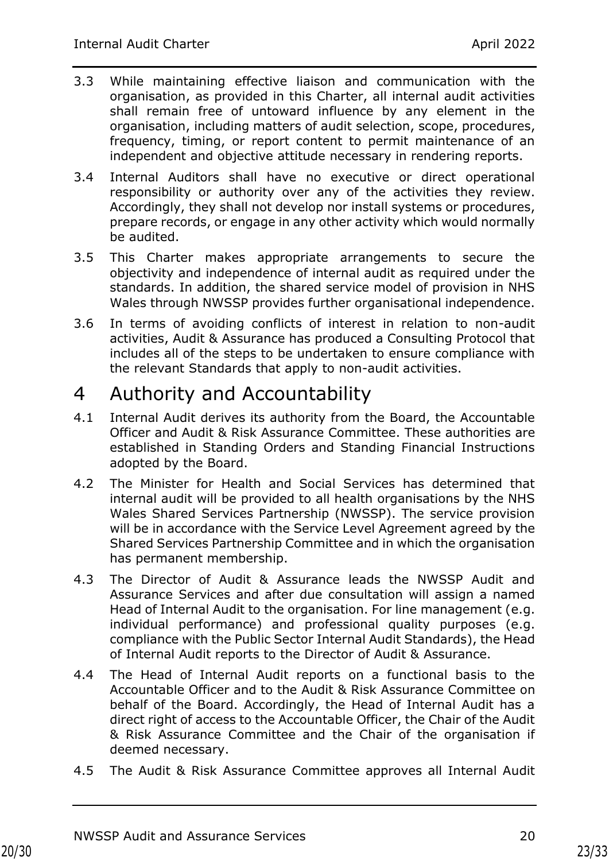- 3.3 While maintaining effective liaison and communication with the organisation, as provided in this Charter, all internal audit activities shall remain free of untoward influence by any element in the organisation, including matters of audit selection, scope, procedures, frequency, timing, or report content to permit maintenance of an independent and objective attitude necessary in rendering reports.
- 3.4 Internal Auditors shall have no executive or direct operational responsibility or authority over any of the activities they review. Accordingly, they shall not develop nor install systems or procedures, prepare records, or engage in any other activity which would normally be audited.
- 3.5 This Charter makes appropriate arrangements to secure the objectivity and independence of internal audit as required under the standards. In addition, the shared service model of provision in NHS Wales through NWSSP provides further organisational independence.
- 3.6 In terms of avoiding conflicts of interest in relation to non-audit activities, Audit & Assurance has produced a Consulting Protocol that includes all of the steps to be undertaken to ensure compliance with the relevant Standards that apply to non-audit activities.

## 4 Authority and Accountability

- 4.1 Internal Audit derives its authority from the Board, the Accountable Officer and Audit & Risk Assurance Committee. These authorities are established in Standing Orders and Standing Financial Instructions adopted by the Board.
- 4.2 The Minister for Health and Social Services has determined that internal audit will be provided to all health organisations by the NHS Wales Shared Services Partnership (NWSSP). The service provision will be in accordance with the Service Level Agreement agreed by the Shared Services Partnership Committee and in which the organisation has permanent membership.
- 4.3 The Director of Audit & Assurance leads the NWSSP Audit and Assurance Services and after due consultation will assign a named Head of Internal Audit to the organisation. For line management (e.g. individual performance) and professional quality purposes (e.g. compliance with the Public Sector Internal Audit Standards), the Head of Internal Audit reports to the Director of Audit & Assurance.
- 4.4 The Head of Internal Audit reports on a functional basis to the Accountable Officer and to the Audit & Risk Assurance Committee on behalf of the Board. Accordingly, the Head of Internal Audit has a direct right of access to the Accountable Officer, the Chair of the Audit & Risk Assurance Committee and the Chair of the organisation if deemed necessary.
- 4.5 The Audit & Risk Assurance Committee approves all Internal Audit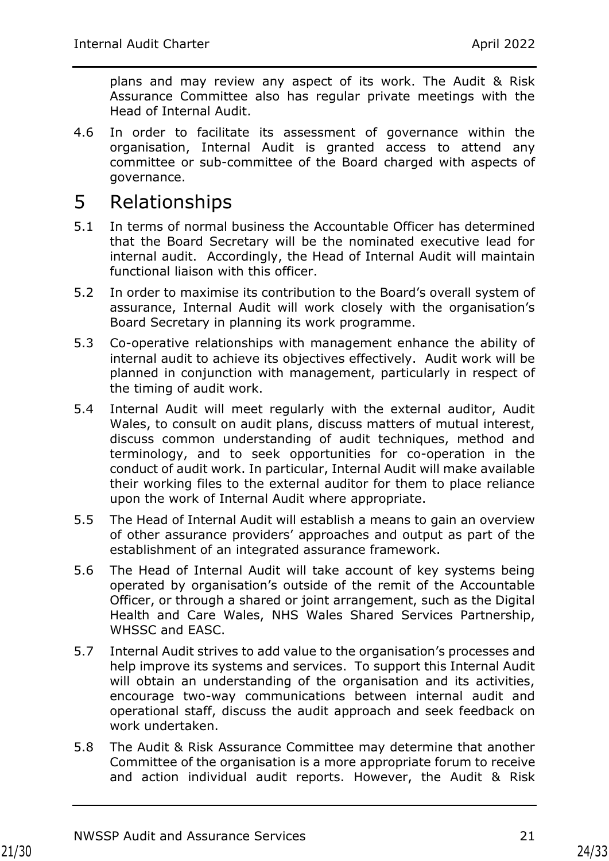plans and may review any aspect of its work. The Audit & Risk Assurance Committee also has regular private meetings with the Head of Internal Audit.

4.6 In order to facilitate its assessment of governance within the organisation, Internal Audit is granted access to attend any committee or sub-committee of the Board charged with aspects of governance.

# 5 Relationships

- 5.1 In terms of normal business the Accountable Officer has determined that the Board Secretary will be the nominated executive lead for internal audit. Accordingly, the Head of Internal Audit will maintain functional liaison with this officer.
- 5.2 In order to maximise its contribution to the Board's overall system of assurance, Internal Audit will work closely with the organisation's Board Secretary in planning its work programme.
- 5.3 Co-operative relationships with management enhance the ability of internal audit to achieve its objectives effectively. Audit work will be planned in conjunction with management, particularly in respect of the timing of audit work.
- 5.4 Internal Audit will meet regularly with the external auditor, Audit Wales, to consult on audit plans, discuss matters of mutual interest, discuss common understanding of audit techniques, method and terminology, and to seek opportunities for co-operation in the conduct of audit work. In particular, Internal Audit will make available their working files to the external auditor for them to place reliance upon the work of Internal Audit where appropriate.
- 5.5 The Head of Internal Audit will establish a means to gain an overview of other assurance providers' approaches and output as part of the establishment of an integrated assurance framework.
- 5.6 The Head of Internal Audit will take account of key systems being operated by organisation's outside of the remit of the Accountable Officer, or through a shared or joint arrangement, such as the Digital Health and Care Wales, NHS Wales Shared Services Partnership, WHSSC and EASC.
- 5.7 Internal Audit strives to add value to the organisation's processes and help improve its systems and services. To support this Internal Audit will obtain an understanding of the organisation and its activities, encourage two-way communications between internal audit and operational staff, discuss the audit approach and seek feedback on work undertaken.
- 5.8 The Audit & Risk Assurance Committee may determine that another Committee of the organisation is a more appropriate forum to receive and action individual audit reports. However, the Audit & Risk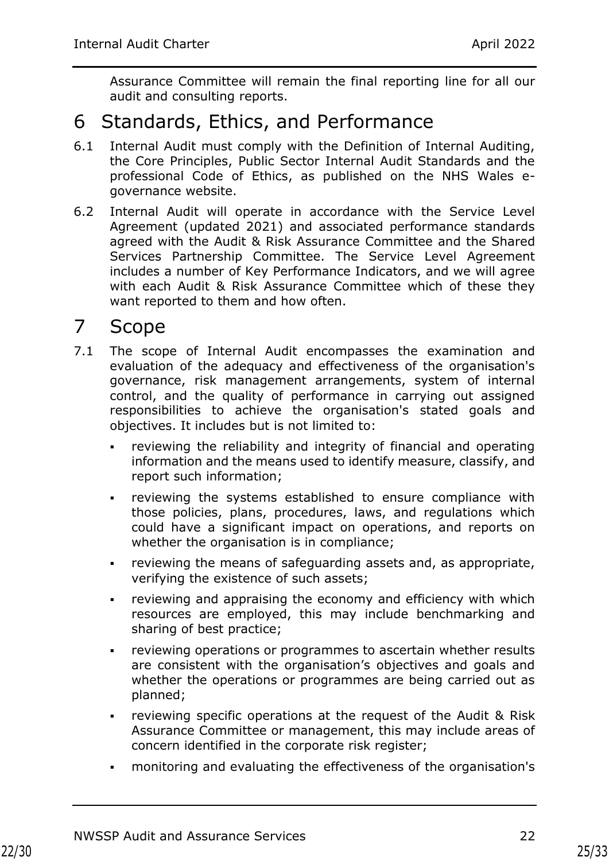Assurance Committee will remain the final reporting line for all our audit and consulting reports.

## 6 Standards, Ethics, and Performance

- 6.1 Internal Audit must comply with the Definition of Internal Auditing, the Core Principles, Public Sector Internal Audit Standards and the professional Code of Ethics, as published on the NHS Wales egovernance website.
- 6.2 Internal Audit will operate in accordance with the Service Level Agreement (updated 2021) and associated performance standards agreed with the Audit & Risk Assurance Committee and the Shared Services Partnership Committee. The Service Level Agreement includes a number of Key Performance Indicators, and we will agree with each Audit & Risk Assurance Committee which of these they want reported to them and how often.

# 7 Scope

- 7.1 The scope of Internal Audit encompasses the examination and evaluation of the adequacy and effectiveness of the organisation's governance, risk management arrangements, system of internal control, and the quality of performance in carrying out assigned responsibilities to achieve the organisation's stated goals and objectives. It includes but is not limited to:
	- reviewing the reliability and integrity of financial and operating information and the means used to identify measure, classify, and report such information;
	- reviewing the systems established to ensure compliance with those policies, plans, procedures, laws, and regulations which could have a significant impact on operations, and reports on whether the organisation is in compliance;
	- reviewing the means of safeguarding assets and, as appropriate, verifying the existence of such assets;
	- **•** reviewing and appraising the economy and efficiency with which resources are employed, this may include benchmarking and sharing of best practice;
	- reviewing operations or programmes to ascertain whether results are consistent with the organisation's objectives and goals and whether the operations or programmes are being carried out as planned;
	- reviewing specific operations at the request of the Audit & Risk Assurance Committee or management, this may include areas of concern identified in the corporate risk register;
	- monitoring and evaluating the effectiveness of the organisation's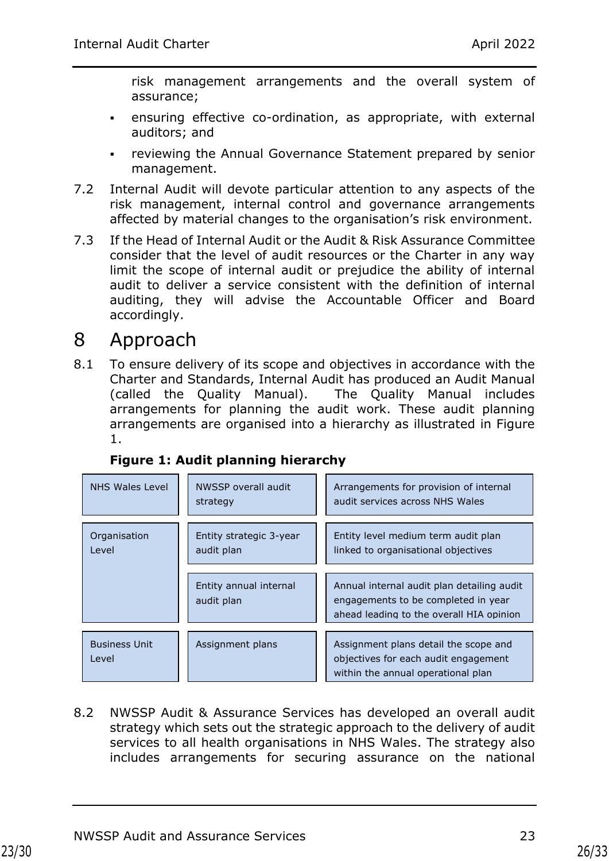risk management arrangements and the overall system of assurance;

- ensuring effective co-ordination, as appropriate, with external auditors; and
- **reviewing the Annual Governance Statement prepared by senior** management.
- 7.2 Internal Audit will devote particular attention to any aspects of the risk management, internal control and governance arrangements affected by material changes to the organisation's risk environment.
- 7.3 If the Head of Internal Audit or the Audit & Risk Assurance Committee consider that the level of audit resources or the Charter in any way limit the scope of internal audit or prejudice the ability of internal audit to deliver a service consistent with the definition of internal auditing, they will advise the Accountable Officer and Board accordingly.

# 8 Approach

8.1 To ensure delivery of its scope and objectives in accordance with the Charter and Standards, Internal Audit has produced an Audit Manual (called the Quality Manual). The Quality Manual includes arrangements for planning the audit work. These audit planning arrangements are organised into a hierarchy as illustrated in Figure 1.

| NHS Wales Level               | NWSSP overall audit<br>strategy       | Arrangements for provision of internal<br>audit services across NHS Wales                                                     |  |
|-------------------------------|---------------------------------------|-------------------------------------------------------------------------------------------------------------------------------|--|
| Organisation<br>Level         | Entity strategic 3-year<br>audit plan | Entity level medium term audit plan<br>linked to organisational objectives                                                    |  |
|                               | Entity annual internal<br>audit plan  | Annual internal audit plan detailing audit<br>engagements to be completed in year<br>ahead leading to the overall HIA opinion |  |
| <b>Business Unit</b><br>Level | Assignment plans                      | Assignment plans detail the scope and<br>objectives for each audit engagement<br>within the annual operational plan           |  |

## **Figure 1: Audit planning hierarchy**

8.2 NWSSP Audit & Assurance Services has developed an overall audit strategy which sets out the strategic approach to the delivery of audit services to all health organisations in NHS Wales. The strategy also includes arrangements for securing assurance on the national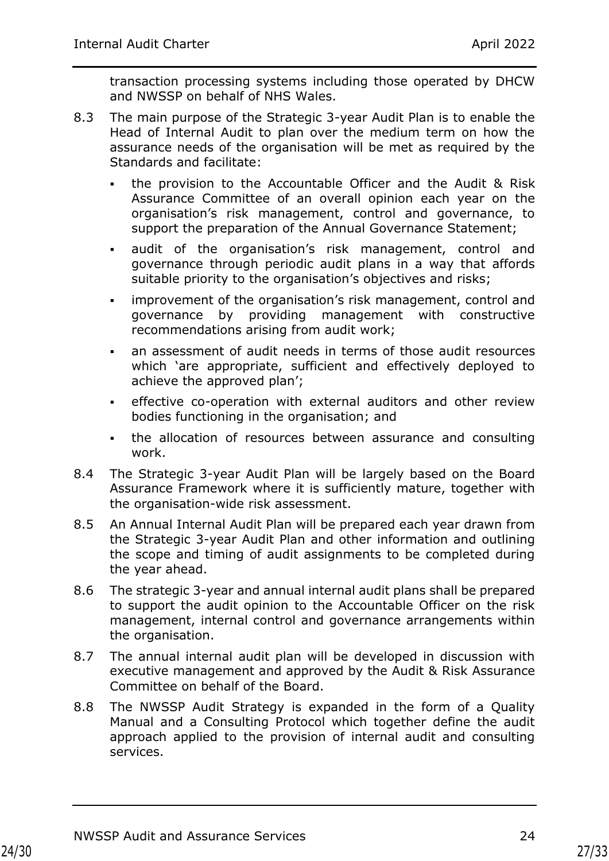transaction processing systems including those operated by DHCW and NWSSP on behalf of NHS Wales.

- 8.3 The main purpose of the Strategic 3-year Audit Plan is to enable the Head of Internal Audit to plan over the medium term on how the assurance needs of the organisation will be met as required by the Standards and facilitate:
	- the provision to the Accountable Officer and the Audit & Risk Assurance Committee of an overall opinion each year on the organisation's risk management, control and governance, to support the preparation of the Annual Governance Statement;
	- audit of the organisation's risk management, control and governance through periodic audit plans in a way that affords suitable priority to the organisation's objectives and risks;
	- improvement of the organisation's risk management, control and governance by providing management with constructive recommendations arising from audit work;
	- an assessment of audit needs in terms of those audit resources which 'are appropriate, sufficient and effectively deployed to achieve the approved plan';
	- **EXECT** effective co-operation with external auditors and other review bodies functioning in the organisation; and
	- . the allocation of resources between assurance and consulting work.
- 8.4 The Strategic 3-year Audit Plan will be largely based on the Board Assurance Framework where it is sufficiently mature, together with the organisation-wide risk assessment.
- 8.5 An Annual Internal Audit Plan will be prepared each year drawn from the Strategic 3-year Audit Plan and other information and outlining the scope and timing of audit assignments to be completed during the year ahead.
- 8.6 The strategic 3-year and annual internal audit plans shall be prepared to support the audit opinion to the Accountable Officer on the risk management, internal control and governance arrangements within the organisation.
- 8.7 The annual internal audit plan will be developed in discussion with executive management and approved by the Audit & Risk Assurance Committee on behalf of the Board.
- 8.8 The NWSSP Audit Strategy is expanded in the form of a Quality Manual and a Consulting Protocol which together define the audit approach applied to the provision of internal audit and consulting services.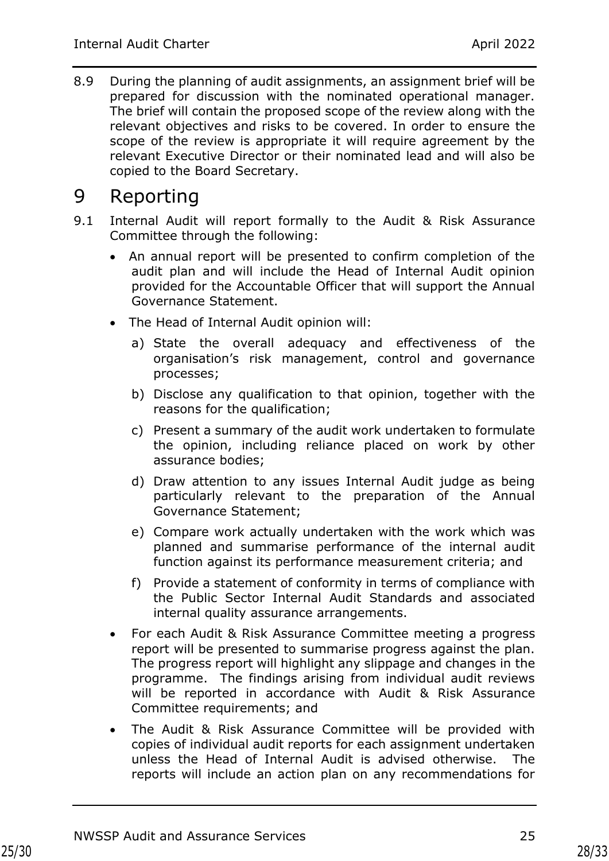8.9 During the planning of audit assignments, an assignment brief will be prepared for discussion with the nominated operational manager. The brief will contain the proposed scope of the review along with the relevant objectives and risks to be covered. In order to ensure the scope of the review is appropriate it will require agreement by the relevant Executive Director or their nominated lead and will also be copied to the Board Secretary.

## 9 Reporting

- 9.1 Internal Audit will report formally to the Audit & Risk Assurance Committee through the following:
	- An annual report will be presented to confirm completion of the audit plan and will include the Head of Internal Audit opinion provided for the Accountable Officer that will support the Annual Governance Statement.
	- The Head of Internal Audit opinion will:
		- a) State the overall adequacy and effectiveness of the organisation's risk management, control and governance processes;
		- b) Disclose any qualification to that opinion, together with the reasons for the qualification;
		- c) Present a summary of the audit work undertaken to formulate the opinion, including reliance placed on work by other assurance bodies;
		- d) Draw attention to any issues Internal Audit judge as being particularly relevant to the preparation of the Annual Governance Statement;
		- e) Compare work actually undertaken with the work which was planned and summarise performance of the internal audit function against its performance measurement criteria; and
		- f) Provide a statement of conformity in terms of compliance with the Public Sector Internal Audit Standards and associated internal quality assurance arrangements.
	- For each Audit & Risk Assurance Committee meeting a progress report will be presented to summarise progress against the plan. The progress report will highlight any slippage and changes in the programme. The findings arising from individual audit reviews will be reported in accordance with Audit & Risk Assurance Committee requirements; and
	- The Audit & Risk Assurance Committee will be provided with copies of individual audit reports for each assignment undertaken unless the Head of Internal Audit is advised otherwise. The reports will include an action plan on any recommendations for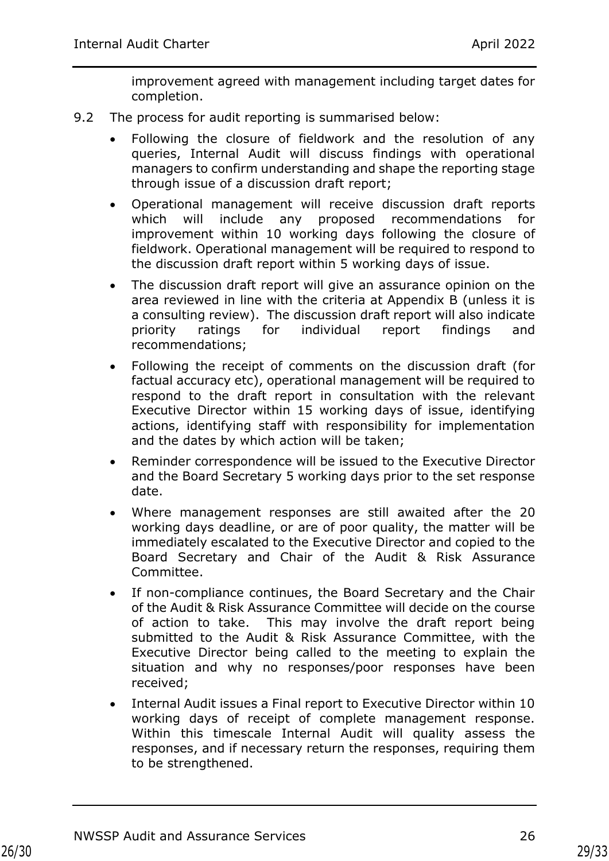improvement agreed with management including target dates for completion.

- 9.2 The process for audit reporting is summarised below:
	- Following the closure of fieldwork and the resolution of any queries, Internal Audit will discuss findings with operational managers to confirm understanding and shape the reporting stage through issue of a discussion draft report;
	- Operational management will receive discussion draft reports which will include any proposed recommendations for improvement within 10 working days following the closure of fieldwork. Operational management will be required to respond to the discussion draft report within 5 working days of issue.
	- The discussion draft report will give an assurance opinion on the area reviewed in line with the criteria at Appendix B (unless it is a consulting review). The discussion draft report will also indicate priority ratings for individual report findings and recommendations;
	- Following the receipt of comments on the discussion draft (for factual accuracy etc), operational management will be required to respond to the draft report in consultation with the relevant Executive Director within 15 working days of issue, identifying actions, identifying staff with responsibility for implementation and the dates by which action will be taken;
	- Reminder correspondence will be issued to the Executive Director and the Board Secretary 5 working days prior to the set response date.
	- Where management responses are still awaited after the 20 working days deadline, or are of poor quality, the matter will be immediately escalated to the Executive Director and copied to the Board Secretary and Chair of the Audit & Risk Assurance Committee.
	- If non-compliance continues, the Board Secretary and the Chair of the Audit & Risk Assurance Committee will decide on the course of action to take. This may involve the draft report being submitted to the Audit & Risk Assurance Committee, with the Executive Director being called to the meeting to explain the situation and why no responses/poor responses have been received;
	- Internal Audit issues a Final report to Executive Director within 10 working days of receipt of complete management response. Within this timescale Internal Audit will quality assess the responses, and if necessary return the responses, requiring them to be strengthened.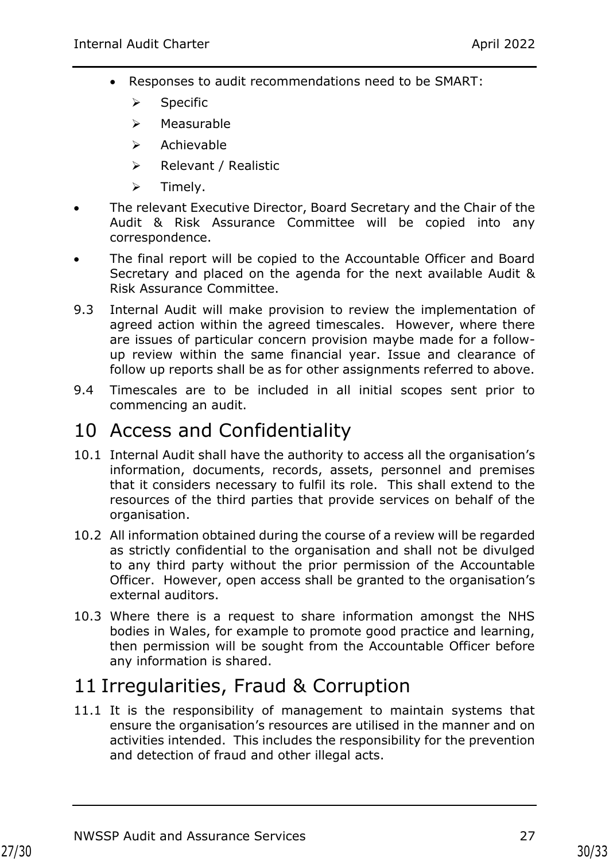- Responses to audit recommendations need to be SMART:
	- ➢ Specific
	- ➢ Measurable
	- ➢ Achievable
	- ➢ Relevant / Realistic
	- ➢ Timely.
- The relevant Executive Director, Board Secretary and the Chair of the Audit & Risk Assurance Committee will be copied into any correspondence.
- The final report will be copied to the Accountable Officer and Board Secretary and placed on the agenda for the next available Audit & Risk Assurance Committee.
- 9.3 Internal Audit will make provision to review the implementation of agreed action within the agreed timescales. However, where there are issues of particular concern provision maybe made for a followup review within the same financial year. Issue and clearance of follow up reports shall be as for other assignments referred to above.
- 9.4 Timescales are to be included in all initial scopes sent prior to commencing an audit.

# 10 Access and Confidentiality

- 10.1 Internal Audit shall have the authority to access all the organisation's information, documents, records, assets, personnel and premises that it considers necessary to fulfil its role. This shall extend to the resources of the third parties that provide services on behalf of the organisation.
- 10.2 All information obtained during the course of a review will be regarded as strictly confidential to the organisation and shall not be divulged to any third party without the prior permission of the Accountable Officer. However, open access shall be granted to the organisation's external auditors.
- 10.3 Where there is a request to share information amongst the NHS bodies in Wales, for example to promote good practice and learning, then permission will be sought from the Accountable Officer before any information is shared.

# 11 Irregularities, Fraud & Corruption

11.1 It is the responsibility of management to maintain systems that ensure the organisation's resources are utilised in the manner and on activities intended. This includes the responsibility for the prevention and detection of fraud and other illegal acts.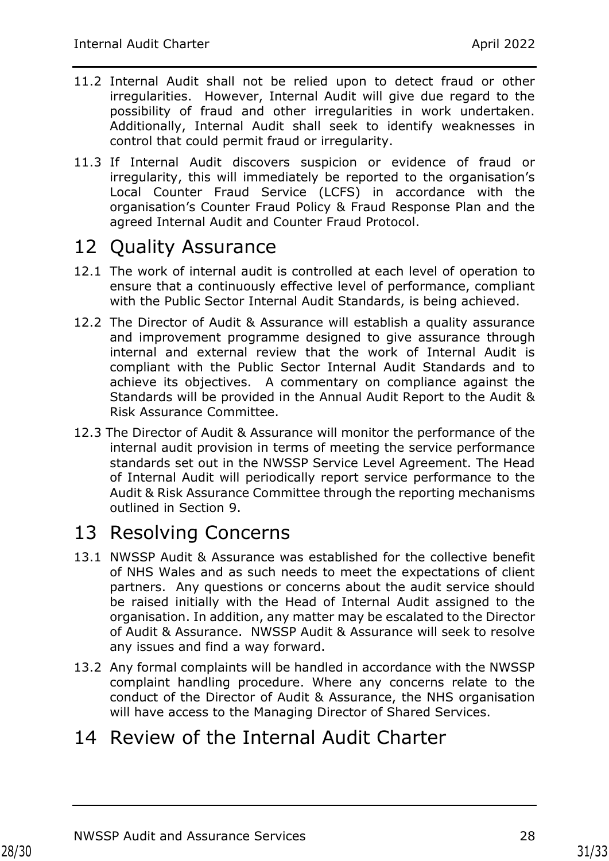- 11.2 Internal Audit shall not be relied upon to detect fraud or other irregularities. However, Internal Audit will give due regard to the possibility of fraud and other irregularities in work undertaken. Additionally, Internal Audit shall seek to identify weaknesses in control that could permit fraud or irregularity.
- 11.3 If Internal Audit discovers suspicion or evidence of fraud or irregularity, this will immediately be reported to the organisation's Local Counter Fraud Service (LCFS) in accordance with the organisation's Counter Fraud Policy & Fraud Response Plan and the agreed Internal Audit and Counter Fraud Protocol.

# 12 Quality Assurance

- 12.1 The work of internal audit is controlled at each level of operation to ensure that a continuously effective level of performance, compliant with the Public Sector Internal Audit Standards, is being achieved.
- 12.2 The Director of Audit & Assurance will establish a quality assurance and improvement programme designed to give assurance through internal and external review that the work of Internal Audit is compliant with the Public Sector Internal Audit Standards and to achieve its objectives. A commentary on compliance against the Standards will be provided in the Annual Audit Report to the Audit & Risk Assurance Committee.
- 12.3 The Director of Audit & Assurance will monitor the performance of the internal audit provision in terms of meeting the service performance standards set out in the NWSSP Service Level Agreement. The Head of Internal Audit will periodically report service performance to the Audit & Risk Assurance Committee through the reporting mechanisms outlined in Section 9.

# 13 Resolving Concerns

- 13.1 NWSSP Audit & Assurance was established for the collective benefit of NHS Wales and as such needs to meet the expectations of client partners. Any questions or concerns about the audit service should be raised initially with the Head of Internal Audit assigned to the organisation. In addition, any matter may be escalated to the Director of Audit & Assurance. NWSSP Audit & Assurance will seek to resolve any issues and find a way forward.
- 13.2 Any formal complaints will be handled in accordance with the NWSSP complaint handling procedure. Where any concerns relate to the conduct of the Director of Audit & Assurance, the NHS organisation will have access to the Managing Director of Shared Services.

# 14 Review of the Internal Audit Charter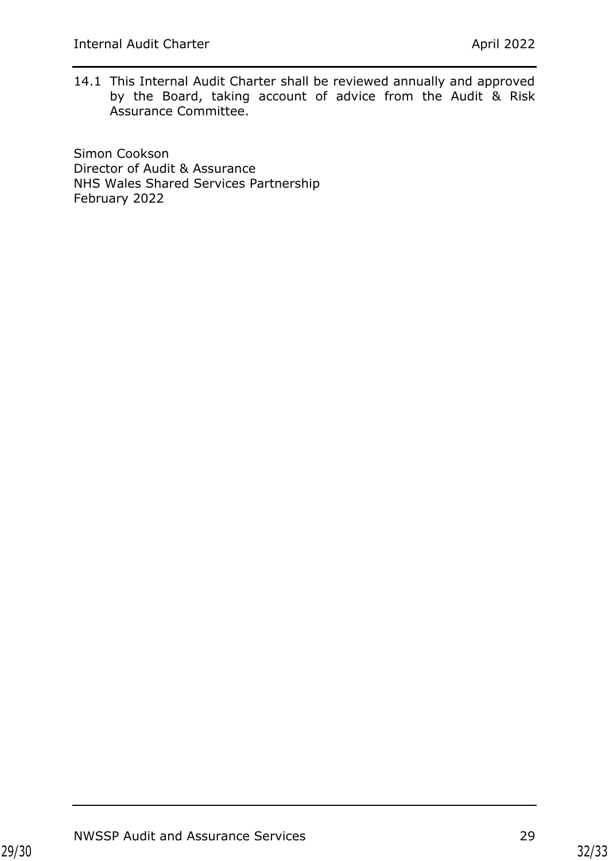14.1 This Internal Audit Charter shall be reviewed annually and approved by the Board, taking account of advice from the Audit & Risk Assurance Committee.

Simon Cookson Director of Audit & Assurance NHS Wales Shared Services Partnership February 2022